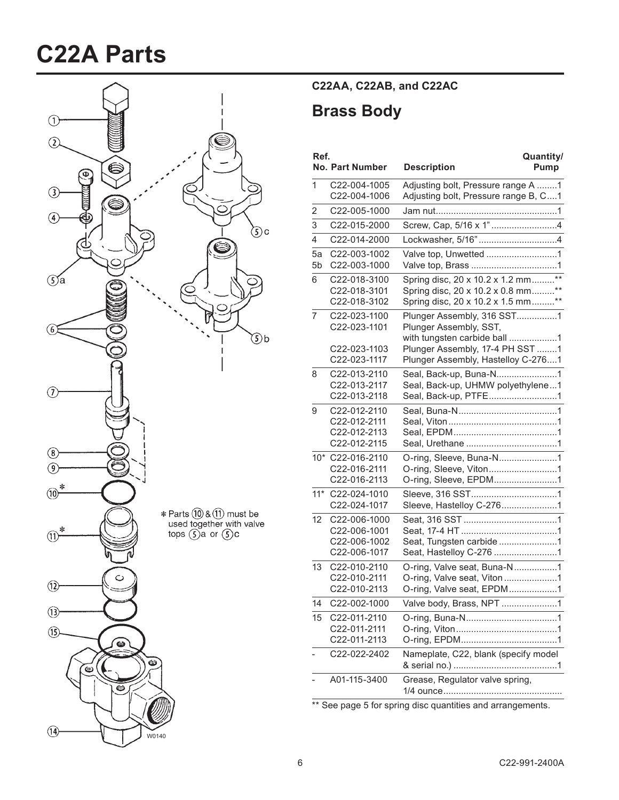# **C22A Parts**



### **C22AA,\$C22AB,\$and\$C22AC**

### **Brass Body**

| Ref.           | <b>No. Part Number</b>       | Quantity/<br><b>Description</b><br>Pump                                    |
|----------------|------------------------------|----------------------------------------------------------------------------|
| 1              | C22-004-1005<br>C22-004-1006 | Adjusting bolt, Pressure range A 1<br>Adjusting bolt, Pressure range B, C1 |
| 2              | C22-005-1000                 |                                                                            |
| 3              | C22-015-2000                 |                                                                            |
| 4              | C22-014-2000                 |                                                                            |
| 5a             | C22-003-1002                 | Valve top, Unwetted 1                                                      |
| 5 <sub>b</sub> | C22-003-1000                 |                                                                            |
| 6              | C22-018-3100                 | Spring disc, 20 x 10.2 x 1.2 mm**                                          |
|                | C22-018-3101                 | Spring disc, 20 x 10.2 x 0.8 mm**                                          |
|                | C22-018-3102                 | Spring disc, 20 x 10.2 x 1.5 mm**                                          |
| 7              | C22-023-1100<br>C22-023-1101 | Plunger Assembly, 316 SST1<br>Plunger Assembly, SST,                       |
|                |                              | with tungsten carbide ball 1                                               |
|                | C22-023-1103                 | Plunger Assembly, 17-4 PH SST 1                                            |
|                | C22-023-1117                 | Plunger Assembly, Hastelloy C-2761                                         |
| 8              | C22-013-2110                 |                                                                            |
|                | C22-013-2117<br>C22-013-2118 | Seal, Back-up, UHMW polyethylene1<br>Seal, Back-up, PTFE1                  |
| 9              | C22-012-2110                 |                                                                            |
|                | C22-012-2111                 |                                                                            |
|                | C22-012-2113                 |                                                                            |
|                | C22-012-2115                 |                                                                            |
|                | 10* C22-016-2110             | O-ring, Sleeve, Buna-N1                                                    |
|                | C22-016-2111<br>C22-016-2113 | O-ring, Sleeve, Viton1                                                     |
| $11*$          | C22-024-1010                 | O-ring, Sleeve, EPDM1                                                      |
|                | C22-024-1017                 |                                                                            |
| 12             | C22-006-1000                 |                                                                            |
|                | C22-006-1001                 |                                                                            |
|                | C22-006-1002                 | Seat, Tungsten carbide 1                                                   |
|                | C22-006-1017                 |                                                                            |
| 13             | C22-010-2110                 | O-ring, Valve seat, Buna-N1                                                |
|                | C22-010-2111<br>C22-010-2113 | O-ring, Valve seat, Viton1<br>O-ring, Valve seat, EPDM1                    |
| 14             | C22-002-1000                 |                                                                            |
|                |                              | Valve body, Brass, NPT 1                                                   |
| 15             | C22-011-2110<br>C22-011-2111 |                                                                            |
|                | C22-011-2113                 |                                                                            |
|                | C22-022-2402                 | Nameplate, C22, blank (specify model                                       |
|                |                              |                                                                            |
|                | A01-115-3400                 | Grease, Regulator valve spring,                                            |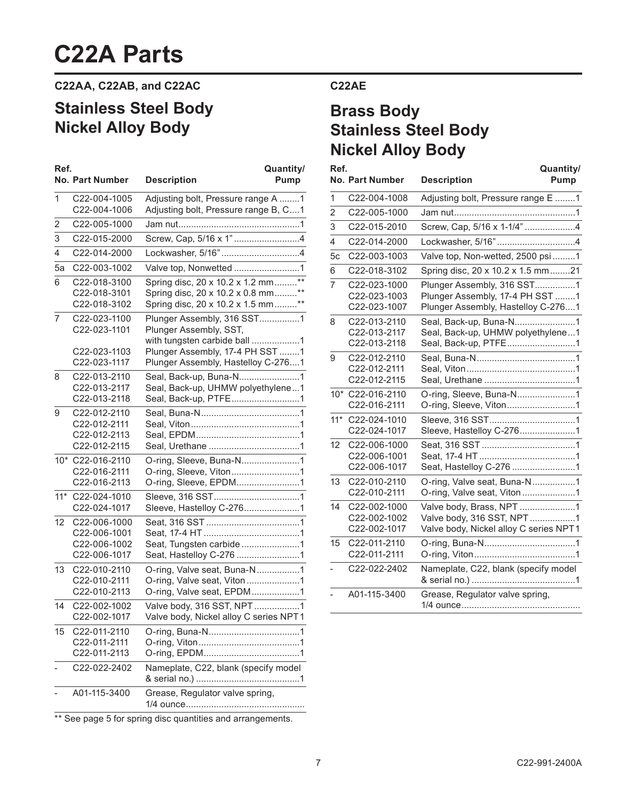## **C22A Parts**

**C22AA,\$C22AB,\$and\$C22AC**

## **Stainless Steel Body Nickel Alloy Body**

| Ref.  | <b>No. Part Number</b>                                       | Quantity/<br><b>Description</b><br><b>Pump</b>                                                                                                                |
|-------|--------------------------------------------------------------|---------------------------------------------------------------------------------------------------------------------------------------------------------------|
| 1     | C22-004-1005<br>C22-004-1006                                 | Adjusting bolt, Pressure range A 1<br>Adjusting bolt, Pressure range B, C1                                                                                    |
| 2     | C22-005-1000                                                 |                                                                                                                                                               |
| 3     | C22-015-2000                                                 |                                                                                                                                                               |
| 4     | C22-014-2000                                                 |                                                                                                                                                               |
| 5a    | C22-003-1002                                                 | Valve top, Nonwetted 1                                                                                                                                        |
| 6     | C22-018-3100<br>C22-018-3101<br>C22-018-3102                 | Spring disc, 20 x 10.2 x 1.2 mm**<br>Spring disc, 20 x 10.2 x 0.8 mm**<br>Spring disc, 20 x 10.2 x 1.5 mm**                                                   |
| 7     | C22-023-1100<br>C22-023-1101<br>C22-023-1103<br>C22-023-1117 | Plunger Assembly, 316 SST1<br>Plunger Assembly, SST,<br>with tungsten carbide ball 1<br>Plunger Assembly, 17-4 PH SST 1<br>Plunger Assembly, Hastelloy C-2761 |
| 8     | C22-013-2110<br>C22-013-2117<br>C22-013-2118                 | Seal, Back-up, Buna-N1<br>Seal, Back-up, UHMW polyethylene1<br>Seal, Back-up, PTFE1                                                                           |
| 9     | C22-012-2110<br>C22-012-2111<br>C22-012-2113<br>C22-012-2115 |                                                                                                                                                               |
|       | 10* C22-016-2110<br>C22-016-2111<br>C22-016-2113             | O-ring, Sleeve, Buna-N1<br>O-ring, Sleeve, Viton1<br>O-ring, Sleeve, EPDM1                                                                                    |
| $11*$ | C22-024-1010<br>C22-024-1017                                 | Sleeve, Hastelloy C-2761                                                                                                                                      |
| 12    | C22-006-1000<br>C22-006-1001<br>C22-006-1002<br>C22-006-1017 | Seat, Tungsten carbide 1<br>Seat, Hastelloy C-276 1                                                                                                           |
| 13    | C22-010-2110<br>C22-010-2111<br>C22-010-2113                 | O-ring, Valve seat, Buna-N1<br>O-ring, Valve seat, Viton 1<br>O-ring, Valve seat, EPDM1                                                                       |
| 14    | C22-002-1002<br>C22-002-1017                                 | Valve body, 316 SST, NPT 1<br>Valve body, Nickel alloy C series NPT1                                                                                          |
| 15    | C22-011-2110<br>C22-011-2111<br>C22-011-2113                 |                                                                                                                                                               |
|       | C22-022-2402                                                 | Nameplate, C22, blank (specify model                                                                                                                          |
|       | A01-115-3400                                                 | Grease, Regulator valve spring,                                                                                                                               |

#### **C22AE**

### **Brass Body Stainless Steel Body Nickel Alloy Body**

| Ref.           | <b>No. Part Number</b>                       | Quantity/<br><b>Description</b><br>Pump                                                             |
|----------------|----------------------------------------------|-----------------------------------------------------------------------------------------------------|
| 1              | C22-004-1008                                 | Adjusting bolt, Pressure range E 1                                                                  |
| $\overline{2}$ | C22-005-1000                                 |                                                                                                     |
| 3              | C22-015-2010                                 | Screw, Cap, 5/16 x 1-1/4" 4                                                                         |
| 4              | C22-014-2000                                 |                                                                                                     |
| 5c             | C22-003-1003                                 | Valve top, Non-wetted, 2500 psi 1                                                                   |
| 6              | C22-018-3102                                 | Spring disc, 20 x 10.2 x 1.5 mm21                                                                   |
| 7              | C22-023-1000<br>C22-023-1003<br>C22-023-1007 | Plunger Assembly, 316 SST1<br>Plunger Assembly, 17-4 PH SST 1<br>Plunger Assembly, Hastelloy C-2761 |
| 8              | C22-013-2110<br>C22-013-2117<br>C22-013-2118 | Seal, Back-up, Buna-N1<br>Seal, Back-up, UHMW polyethylene1<br>Seal, Back-up, PTFE1                 |
| 9              | C22-012-2110<br>C22-012-2111<br>C22-012-2115 |                                                                                                     |
|                | 10* C22-016-2110<br>C22-016-2111             | O-ring, Sleeve, Buna-N1<br>O-ring, Sleeve, Viton1                                                   |
| $11*$          | C22-024-1010<br>C22-024-1017                 | Sleeve, Hastelloy C-2761                                                                            |
| 12             | C22-006-1000<br>C22-006-1001<br>C22-006-1017 | Seat, Hastelloy C-276 1                                                                             |
| 13             | C22-010-2110<br>C22-010-2111                 | O-ring, Valve seat, Buna-N1<br>O-ring, Valve seat, Viton1                                           |
| 14             | C22-002-1000<br>C22-002-1002<br>C22-002-1017 | Valve body, Brass, NPT 1<br>Valve body, 316 SST, NPT1<br>Valve body, Nickel alloy C series NPT1     |
| 15             | C22-011-2110<br>C22-011-2111                 |                                                                                                     |
|                | C22-022-2402                                 | Nameplate, C22, blank (specify model                                                                |
|                | A01-115-3400                                 | Grease, Regulator valve spring,                                                                     |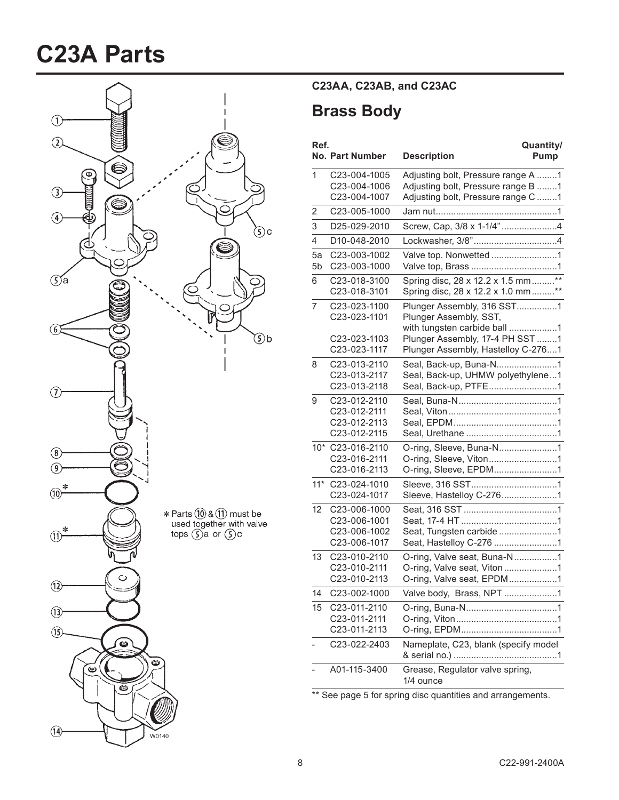# **C23A Parts**



### **C23AA,\$C23AB,\$and\$C23AC**

### **Brass Body**

| Ref.     | <b>No. Part Number</b>                                       | Quantity/<br>Pump<br><b>Description</b>                                                                        |
|----------|--------------------------------------------------------------|----------------------------------------------------------------------------------------------------------------|
| 1        | C23-004-1005<br>C23-004-1006<br>C23-004-1007                 | Adjusting bolt, Pressure range A 1<br>Adjusting bolt, Pressure range B 1<br>Adjusting bolt, Pressure range C 1 |
| 2        | C23-005-1000                                                 |                                                                                                                |
| 3        | D25-029-2010                                                 | Screw, Cap, 3/8 x 1-1/4"4                                                                                      |
| 4        | D10-048-2010                                                 |                                                                                                                |
| 5a<br>5b | C23-003-1002<br>C23-003-1000                                 |                                                                                                                |
| 6        | C23-018-3100<br>C23-018-3101                                 | Spring disc, 28 x 12.2 x 1.5 mm**<br>Spring disc, 28 x 12.2 x 1.0 mm**                                         |
| 7        | C23-023-1100<br>C23-023-1101                                 | Plunger Assembly, 316 SST1<br>Plunger Assembly, SST,<br>with tungsten carbide ball 1                           |
|          | C23-023-1103<br>C23-023-1117                                 | Plunger Assembly, 17-4 PH SST 1<br>Plunger Assembly, Hastelloy C-2761                                          |
| 8        | C23-013-2110<br>C23-013-2117<br>C23-013-2118                 | Seal, Back-up, Buna-N1<br>Seal, Back-up, UHMW polyethylene1<br>Seal, Back-up, PTFE1                            |
| 9        | C23-012-2110<br>C23-012-2111<br>C23-012-2113<br>C23-012-2115 |                                                                                                                |
|          | 10* C23-016-2110<br>C23-016-2111<br>C23-016-2113             | O-ring, Sleeve, Buna-N1<br>O-ring, Sleeve, Viton1<br>O-ring, Sleeve, EPDM1                                     |
| $11*$    | C23-024-1010<br>C23-024-1017                                 | Sleeve, Hastelloy C-2761                                                                                       |
| 12       | C23-006-1000<br>C23-006-1001<br>C23-006-1002<br>C23-006-1017 | Seat, Tungsten carbide 1<br>Seat, Hastelloy C-276 1                                                            |
| 13       | C23-010-2110<br>C23-010-2111<br>C23-010-2113                 | O-ring, Valve seat, Buna-N1<br>O-ring, Valve seat, Viton 1<br>O-ring, Valve seat, EPDM1                        |
| 14       | C23-002-1000                                                 | Valve body, Brass, NPT 1                                                                                       |
| 15       | C23-011-2110<br>C23-011-2111<br>C23-011-2113                 |                                                                                                                |
|          | C23-022-2403                                                 | Nameplate, C23, blank (specify model                                                                           |
|          | A01-115-3400                                                 | Grease, Regulator valve spring,<br>1/4 ounce                                                                   |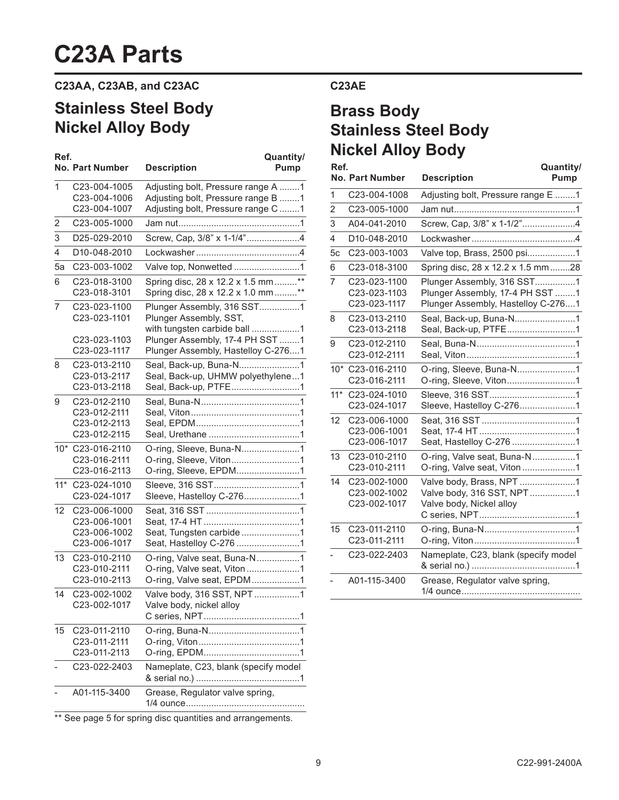## **C23A Parts**

### **C23AA,\$C23AB,\$and\$C23AC**

## **Stainless Steel Body Nickel Alloy Body**

| Ref. |                                                  | Quantity/                                                                            |      | <b>INICREI AIIUY DUUY</b>                       |                                                                                      |                          |
|------|--------------------------------------------------|--------------------------------------------------------------------------------------|------|-------------------------------------------------|--------------------------------------------------------------------------------------|--------------------------|
|      | <b>No. Part Number</b>                           | <b>Description</b><br>Pump                                                           | Ref. | <b>No. Part Number</b>                          | <b>Description</b>                                                                   | Quantity/<br><b>Pump</b> |
| 1    | C23-004-1005<br>C23-004-1006                     | Adjusting bolt, Pressure range A 1<br>Adjusting bolt, Pressure range B 1             | 1    | C23-004-1008                                    | Adjusting bolt, Pressure range E 1                                                   |                          |
|      | C23-004-1007                                     | Adjusting bolt, Pressure range C 1                                                   | 2    | C23-005-1000                                    |                                                                                      |                          |
| 2    | C23-005-1000                                     |                                                                                      | 3    | A04-041-2010                                    | Screw, Cap, 3/8" x 1-1/2"4                                                           |                          |
| 3    | D25-029-2010                                     | Screw, Cap, 3/8" x 1-1/4"4                                                           | 4    | D10-048-2010                                    |                                                                                      |                          |
| 4    | D10-048-2010                                     |                                                                                      | 5с   | C23-003-1003                                    | Valve top, Brass, 2500 psi 1                                                         |                          |
| 5a   | C23-003-1002                                     |                                                                                      | 6    | C23-018-3100                                    | Spring disc, 28 x 12.2 x 1.5 mm28                                                    |                          |
| 6    | C23-018-3100<br>C23-018-3101                     | Spring disc, 28 x 12.2 x 1.5 mm **<br>Spring disc, 28 x 12.2 x 1.0 mm **             | 7    | C23-023-1100<br>C23-023-1103                    | Plunger Assembly, 316 SST1<br>Plunger Assembly, 17-4 PH SST 1                        |                          |
| 7    | C23-023-1100<br>C23-023-1101                     | Plunger Assembly, 316 SST1<br>Plunger Assembly, SST,<br>with tungsten carbide ball 1 | 8    | C23-023-1117<br>C23-013-2110<br>C23-013-2118    | Plunger Assembly, Hastelloy C-2761<br>Seal, Back-up, Buna-N1<br>Seal, Back-up, PTFE1 |                          |
|      | C23-023-1103<br>C23-023-1117                     | Plunger Assembly, 17-4 PH SST 1<br>Plunger Assembly, Hastelloy C-2761                | 9    | C23-012-2110<br>C23-012-2111                    |                                                                                      |                          |
| 8    | C23-013-2110<br>C23-013-2117<br>C23-013-2118     | Seal, Back-up, Buna-N1<br>Seal, Back-up, UHMW polyethylene1<br>Seal, Back-up, PTFE1  |      | 10* C23-016-2110<br>C23-016-2111                | O-ring, Sleeve, Viton1                                                               |                          |
| 9    | C23-012-2110<br>C23-012-2111                     |                                                                                      |      | 11* C23-024-1010<br>C23-024-1017                | Sleeve, Hastelloy C-2761                                                             |                          |
|      | C23-012-2113<br>C23-012-2115                     |                                                                                      |      | 12 C23-006-1000<br>C23-006-1001<br>C23-006-1017 | Seat, Hastelloy C-276 1                                                              |                          |
|      | 10* C23-016-2110<br>C23-016-2111<br>C23-016-2113 | O-ring, Sleeve, Viton1<br>O-ring, Sleeve, EPDM1                                      |      | 13 C23-010-2110<br>C23-010-2111                 | O-ring, Valve seat, Buna-N1<br>O-ring, Valve seat, Viton1                            |                          |
|      | 11* C23-024-1010<br>C23-024-1017                 | Sleeve, Hastelloy C-2761                                                             |      | 14 C23-002-1000<br>C23-002-1002                 | Valve body, Brass, NPT 1<br>Valve body, 316 SST, NPT1                                |                          |
|      | 12 C23-006-1000                                  |                                                                                      |      | C23-002-1017                                    | Valve body, Nickel alloy                                                             |                          |
|      | C23-006-1001<br>C23-006-1002<br>C23-006-1017     | Seat, Tungsten carbide 1<br>Seat, Hastelloy C-276 1                                  |      | 15 C23-011-2110<br>C23-011-2111                 |                                                                                      |                          |
|      | 13 C23-010-2110<br>C23-010-2111                  | O-ring, Valve seat, Buna-N1<br>O-ring, Valve seat, Viton 1                           |      | C23-022-2403                                    | Nameplate, C23, blank (specify model                                                 |                          |
|      | C23-010-2113                                     | O-ring, Valve seat, EPDM1                                                            |      | A01-115-3400                                    | Grease, Regulator valve spring,                                                      |                          |
|      | 14 C23-002-1002<br>C23-002-1017                  | Valve body, 316 SST, NPT1<br>Valve body, nickel alloy                                |      |                                                 |                                                                                      |                          |
|      | 15 C23-011-2110<br>C23-011-2111<br>C23-011-2113  |                                                                                      |      |                                                 |                                                                                      |                          |
|      | C23-022-2403                                     | Nameplate, C23, blank (specify model                                                 |      |                                                 |                                                                                      |                          |
|      | A01-115-3400                                     | Grease, Regulator valve spring,                                                      |      |                                                 |                                                                                      |                          |

#### **C23AE**

## **Brass Body Stainless Steel Body Nickel Alloy Body**

|                |                                              | wuanuuy/                                                                                            |
|----------------|----------------------------------------------|-----------------------------------------------------------------------------------------------------|
|                | <b>No. Part Number</b>                       | <b>Description</b><br>Pump                                                                          |
| 1              | C23-004-1008                                 | Adjusting bolt, Pressure range E 1                                                                  |
| $\overline{2}$ | C23-005-1000                                 |                                                                                                     |
| 3              | A04-041-2010                                 |                                                                                                     |
| 4              | D10-048-2010                                 |                                                                                                     |
| 5c             | C23-003-1003                                 |                                                                                                     |
| 6              | C23-018-3100                                 | Spring disc, 28 x 12.2 x 1.5 mm28                                                                   |
| $\overline{7}$ | C23-023-1100<br>C23-023-1103<br>C23-023-1117 | Plunger Assembly, 316 SST1<br>Plunger Assembly, 17-4 PH SST 1<br>Plunger Assembly, Hastelloy C-2761 |
| 8              | C23-013-2110<br>C23-013-2118                 | Seal, Back-up, Buna-N1<br>Seal, Back-up, PTFE1                                                      |
| 9              | C23-012-2110<br>C23-012-2111                 |                                                                                                     |
| $10*$          | C23-016-2110<br>C23-016-2111                 | O-ring, Sleeve, Buna-N1<br>O-ring, Sleeve, Viton1                                                   |
| $11*$          | C23-024-1010<br>C23-024-1017                 | Sleeve, Hastelloy C-2761                                                                            |
| 12             | C23-006-1000<br>C23-006-1001<br>C23-006-1017 |                                                                                                     |
| 13             | C23-010-2110<br>C23-010-2111                 | O-ring, Valve seat, Buna-N1<br>O-ring, Valve seat, Viton1                                           |
| 14             | C23-002-1000<br>C23-002-1002<br>C23-002-1017 | Valve body, Brass, NPT 1<br>Valve body, 316 SST, NPT1<br>Valve body, Nickel alloy                   |
| 15             | C23-011-2110<br>C23-011-2111                 |                                                                                                     |
|                | C23-022-2403                                 | Nameplate, C23, blank (specify model                                                                |
|                | A01-115-3400                                 | Grease, Regulator valve spring,                                                                     |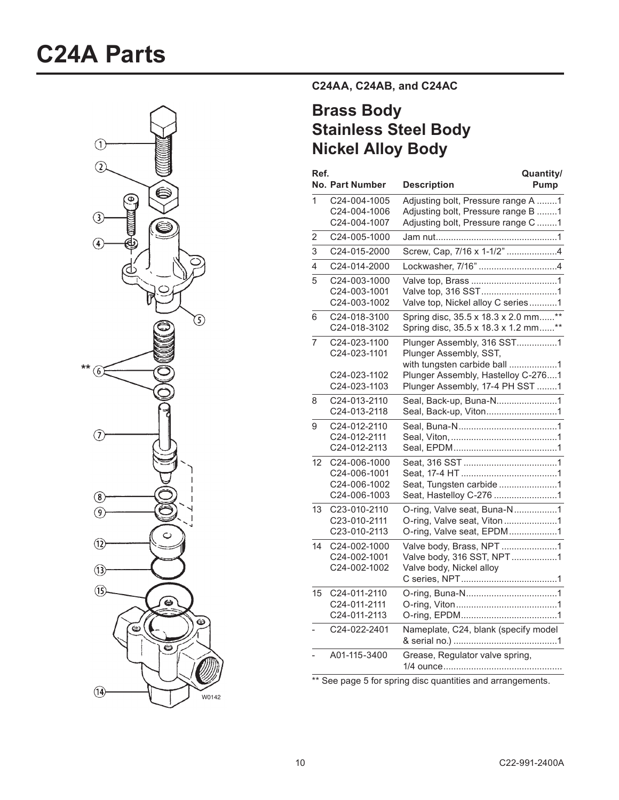# **C24A Parts**



**C24AA,\$C24AB,\$and\$C24AC**

## **Brass Body Stainless Steel Body Nickel Alloy Body**

| Ref.           | <b>No. Part Number</b>                                       | Quantity/<br><b>Description</b><br>Pump                                                                                    |
|----------------|--------------------------------------------------------------|----------------------------------------------------------------------------------------------------------------------------|
| 1              | C24-004-1005<br>C24-004-1006<br>C24-004-1007                 | Adjusting bolt, Pressure range A 1<br>Adjusting bolt, Pressure range B 1<br>Adjusting bolt, Pressure range C 1             |
| 2              | C24-005-1000                                                 |                                                                                                                            |
| 3              | C24-015-2000                                                 | Screw, Cap, 7/16 x 1-1/2" 4                                                                                                |
| $\overline{4}$ | C24-014-2000                                                 | Lockwasher, 7/16" 4                                                                                                        |
| 5              | C24-003-1000<br>C24-003-1001<br>C24-003-1002                 | Valve top, 316 SST1<br>Valve top, Nickel alloy C series1                                                                   |
| 6              | C24-018-3100<br>C24-018-3102                                 | Spring disc, 35.5 x 18.3 x 2.0 mm**<br>Spring disc, 35.5 x 18.3 x 1.2 mm**                                                 |
| $\overline{7}$ | C24-023-1100<br>C24-023-1101<br>C24-023-1102                 | Plunger Assembly, 316 SST1<br>Plunger Assembly, SST,<br>with tungsten carbide ball 1<br>Plunger Assembly, Hastelloy C-2761 |
|                | C24-023-1103                                                 | Plunger Assembly, 17-4 PH SST 1                                                                                            |
| 8              | C24-013-2110<br>C24-013-2118                                 | Seal, Back-up, Buna-N1<br>Seal, Back-up, Viton1                                                                            |
| 9              | C24-012-2110<br>C24-012-2111<br>C24-012-2113                 |                                                                                                                            |
| 12             | C24-006-1000<br>C24-006-1001<br>C24-006-1002<br>C24-006-1003 | Seat, Tungsten carbide 1<br>Seat, Hastelloy C-276 1                                                                        |
| 13             | C23-010-2110<br>C23-010-2111<br>C23-010-2113                 | O-ring, Valve seat, Buna-N1<br>O-ring, Valve seat, Viton1<br>O-ring, Valve seat, EPDM1                                     |
| 14             | C24-002-1000<br>C24-002-1001<br>C24-002-1002                 | Valve body, Brass, NPT 1<br>Valve body, 316 SST, NPT1<br>Valve body, Nickel alloy                                          |
| 15             | C24-011-2110<br>C24-011-2111<br>C24-011-2113                 |                                                                                                                            |
|                | C24-022-2401                                                 | Nameplate, C24, blank (specify model                                                                                       |
|                | A01-115-3400                                                 | Grease, Regulator valve spring,                                                                                            |